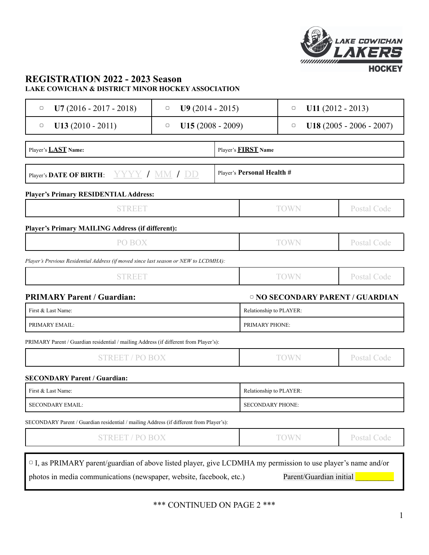

### **REGISTRATION 2022 - 2023 Season LAKE COWICHAN & DISTRICT MINOR HOCKEY ASSOCIATION**

| $U7(2016 - 2017 - 2018)$<br>$\Box$                                                      | $U9(2014 - 2015)$<br>$\Box$                           |                | $U11 (2012 - 2013)$<br>О       |                                             |  |
|-----------------------------------------------------------------------------------------|-------------------------------------------------------|----------------|--------------------------------|---------------------------------------------|--|
| $U13(2010 - 2011)$<br>$\Box$                                                            | $U15(2008 - 2009)$<br>$\hfill\ensuremath{\mathsf{O}}$ |                | $U18(2005 - 2006 - 2007)$<br>О |                                             |  |
| Player's <b>LAST</b> Name:                                                              |                                                       |                | Player's <b>FIRST</b> Name     |                                             |  |
| Player's DATE OF BIRTH: YYYY / MM / DD                                                  |                                                       |                | Player's Personal Health #     |                                             |  |
| <b>Player's Primary RESIDENTIAL Address:</b>                                            |                                                       |                |                                |                                             |  |
| <b>STREET</b>                                                                           |                                                       | <b>TOWN</b>    |                                | <b>Postal Code</b>                          |  |
| Player's Primary MAILING Address (if different):                                        |                                                       |                |                                |                                             |  |
| PO BOX                                                                                  |                                                       |                | <b>TOWN</b>                    | <b>Postal Code</b>                          |  |
| Player's Previous Residential Address (if moved since last season or NEW to LCDMHA):    |                                                       |                |                                |                                             |  |
| <b>STREET</b>                                                                           |                                                       |                | <b>TOWN</b>                    | <b>Postal Code</b>                          |  |
| <b>PRIMARY Parent / Guardian:</b>                                                       |                                                       |                |                                | <sup>o</sup> NO SECONDARY PARENT / GUARDIAN |  |
| First & Last Name:                                                                      |                                                       |                | Relationship to PLAYER:        |                                             |  |
| PRIMARY EMAIL:                                                                          |                                                       | PRIMARY PHONE: |                                |                                             |  |
| PRIMARY Parent / Guardian residential / mailing Address (if different from Player's):   |                                                       |                |                                |                                             |  |
| <b>STREET / PO BOX</b>                                                                  |                                                       |                | <b>TOWN</b>                    | <b>Postal Code</b>                          |  |
| <b>SECONDARY Parent / Guardian:</b>                                                     |                                                       |                |                                |                                             |  |
| First & Last Name:                                                                      |                                                       |                | Relationship to PLAYER:        |                                             |  |
| <b>SECONDARY EMAIL:</b>                                                                 |                                                       |                | <b>SECONDARY PHONE:</b>        |                                             |  |
| SECONDARY Parent / Guardian residential / mailing Address (if different from Player's): |                                                       |                |                                |                                             |  |
| <b>STREET / PO BOX</b>                                                                  |                                                       |                | <b>TOWN</b>                    | <b>Postal Code</b>                          |  |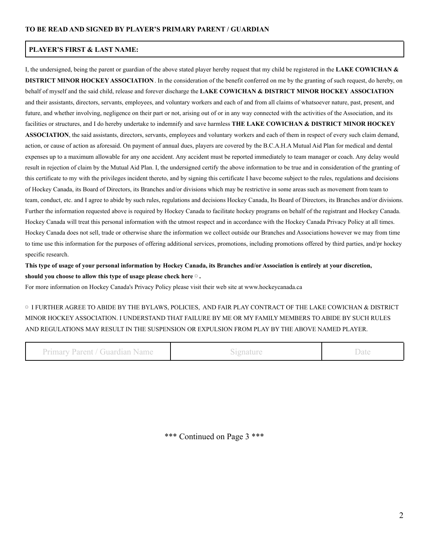#### **PLAYER'S FIRST & LAST NAME:**

I, the undersigned, being the parent or guardian of the above stated player hereby request that my child be registered in the **LAKE COWICHAN & DISTRICT MINOR HOCKEY ASSOCIATION**. In the consideration of the benefit conferred on me by the granting of such request, do hereby, on behalf of myself and the said child, release and forever discharge the **LAKE COWICHAN & DISTRICT MINOR HOCKEY ASSOCIATION** and their assistants, directors, servants, employees, and voluntary workers and each of and from all claims of whatsoever nature, past, present, and future, and whether involving, negligence on their part or not, arising out of or in any way connected with the activities of the Association, and its facilities or structures, and I do hereby undertake to indemnify and save harmless **THE LAKE COWICHAN & DISTRICT MINOR HOCKEY ASSOCIATION**, the said assistants, directors, servants, employees and voluntary workers and each of them in respect of every such claim demand, action, or cause of action as aforesaid. On payment of annual dues, players are covered by the B.C.A.H.A Mutual Aid Plan for medical and dental expenses up to a maximum allowable for any one accident. Any accident must be reported immediately to team manager or coach. Any delay would result in rejection of claim by the Mutual Aid Plan. I, the undersigned certify the above information to be true and in consideration of the granting of this certificate to my with the privileges incident thereto, and by signing this certificate I have become subject to the rules, regulations and decisions of Hockey Canada, its Board of Directors, its Branches and/or divisions which may be restrictive in some areas such as movement from team to team, conduct, etc. and I agree to abide by such rules, regulations and decisions Hockey Canada, Its Board of Directors, its Branches and/or divisions. Further the information requested above is required by Hockey Canada to facilitate hockey programs on behalf of the registrant and Hockey Canada. Hockey Canada will treat this personal information with the utmost respect and in accordance with the Hockey Canada Privacy Policy at all times. Hockey Canada does not sell, trade or otherwise share the information we collect outside our Branches and Associations however we may from time to time use this information for the purposes of offering additional services, promotions, including promotions offered by third parties, and/pr hockey specific research.

**This type of usage of your personal information by Hockey Canada, its Branches and/or Association is entirely at your discretion, should you choose to allow this type of usage please check here** ▢ **.**

For more information on Hockey Canada's Privacy Policy please visit their web site at www.hockeycanada.ca

▢ I FURTHER AGREE TO ABIDE BY THE BYLAWS, POLICIES, AND FAIR PLAY CONTRACT OF THE LAKE COWICHAN & DISTRICT MINOR HOCKEY ASSOCIATION. I UNDERSTAND THAT FAILURE BY ME OR MY FAMILY MEMBERS TO ABIDE BY SUCH RULES AND REGULATIONS MAY RESULT IN THE SUSPENSION OR EXPULSION FROM PLAY BY THE ABOVE NAMED PLAYER.

Primary Parent / Guardian Name Signature Signature Date

\*\*\* Continued on Page 3 \*\*\*